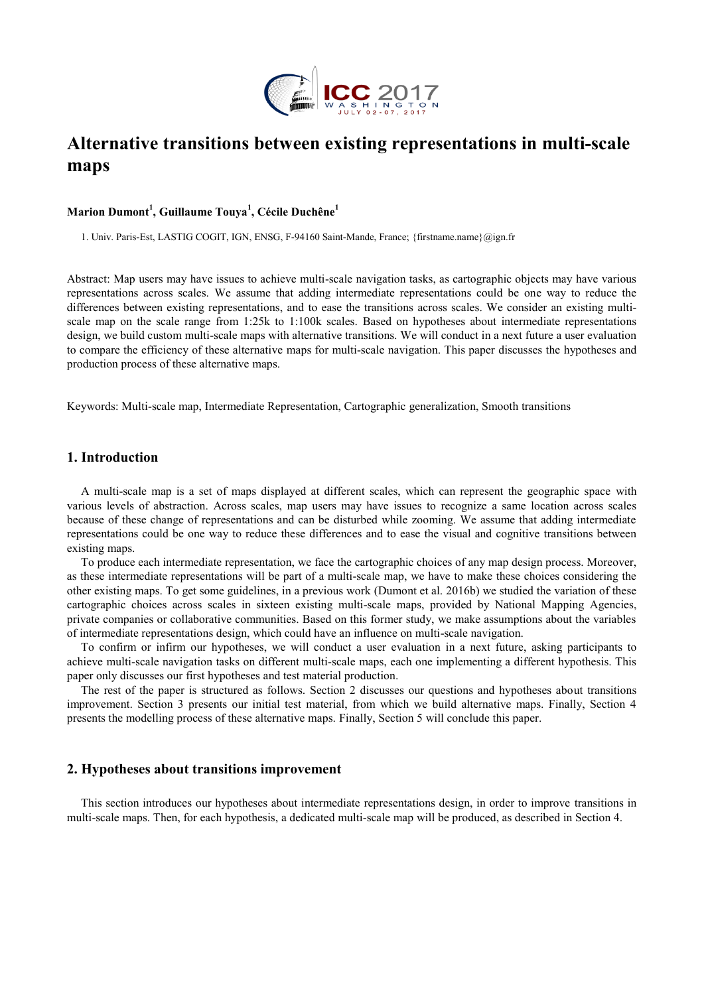

# **Alternative transitions between existing representations in multi-scale maps**

# **Marion Dumont<sup>1</sup> , Guillaume Touya<sup>1</sup> , Cécile Duchêne<sup>1</sup>**

1. Univ. Paris-Est, LASTIG COGIT, IGN, ENSG, F-94160 Saint-Mande, France; {firstname.name}@ign.fr

Abstract: Map users may have issues to achieve multi-scale navigation tasks, as cartographic objects may have various representations across scales. We assume that adding intermediate representations could be one way to reduce the differences between existing representations, and to ease the transitions across scales. We consider an existing multiscale map on the scale range from 1:25k to 1:100k scales. Based on hypotheses about intermediate representations design, we build custom multi-scale maps with alternative transitions. We will conduct in a next future a user evaluation to compare the efficiency of these alternative maps for multi-scale navigation. This paper discusses the hypotheses and production process of these alternative maps.

Keywords: Multi-scale map, Intermediate Representation, Cartographic generalization, Smooth transitions

## **1. Introduction**

A multi-scale map is a set of maps displayed at different scales, which can represent the geographic space with various levels of abstraction. Across scales, map users may have issues to recognize a same location across scales because of these change of representations and can be disturbed while zooming. We assume that adding intermediate representations could be one way to reduce these differences and to ease the visual and cognitive transitions between existing maps.

To produce each intermediate representation, we face the cartographic choices of any map design process. Moreover, as these intermediate representations will be part of a multi-scale map, we have to make these choices considering the other existing maps. To get some guidelines, in a previous work (Dumont et al. 2016b) we studied the variation of these cartographic choices across scales in sixteen existing multi-scale maps, provided by National Mapping Agencies, private companies or collaborative communities. Based on this former study, we make assumptions about the variables of intermediate representations design, which could have an influence on multi-scale navigation.

To confirm or infirm our hypotheses, we will conduct a user evaluation in a next future, asking participants to achieve multi-scale navigation tasks on different multi-scale maps, each one implementing a different hypothesis. This paper only discusses our first hypotheses and test material production.

The rest of the paper is structured as follows. Section 2 discusses our questions and hypotheses about transitions improvement. Section 3 presents our initial test material, from which we build alternative maps. Finally, Section 4 presents the modelling process of these alternative maps. Finally, Section 5 will conclude this paper.

# **2. Hypotheses about transitions improvement**

This section introduces our hypotheses about intermediate representations design, in order to improve transitions in multi-scale maps. Then, for each hypothesis, a dedicated multi-scale map will be produced, as described in Section 4.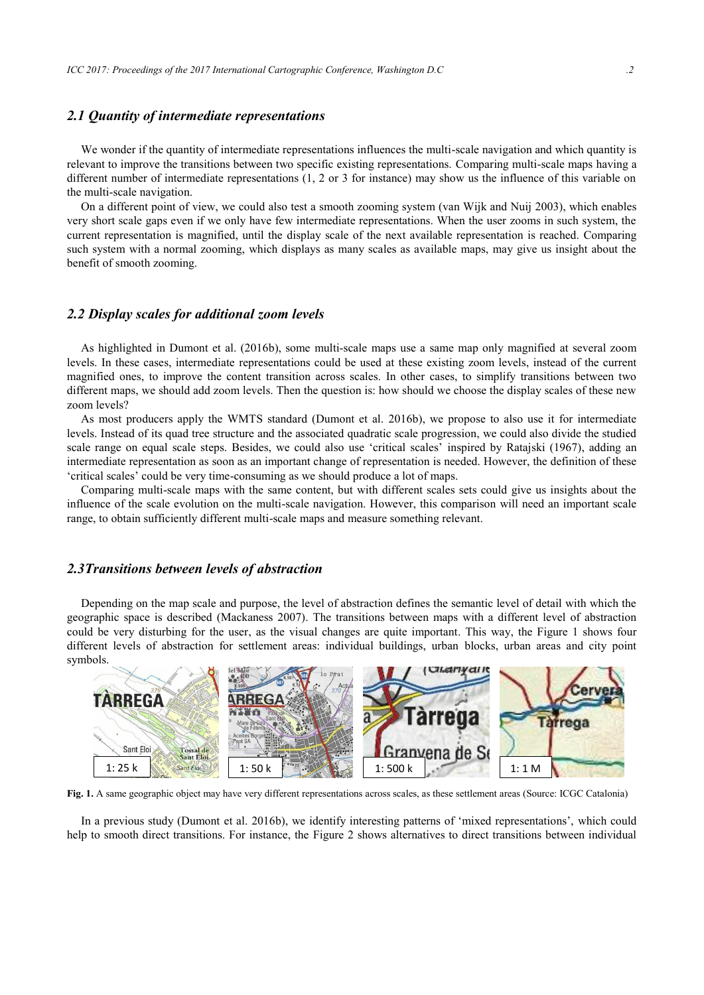#### *2.1 Quantity of intermediate representations*

We wonder if the quantity of intermediate representations influences the multi-scale navigation and which quantity is relevant to improve the transitions between two specific existing representations. Comparing multi-scale maps having a different number of intermediate representations (1, 2 or 3 for instance) may show us the influence of this variable on the multi-scale navigation.

On a different point of view, we could also test a smooth zooming system (van Wijk and Nuij 2003), which enables very short scale gaps even if we only have few intermediate representations. When the user zooms in such system, the current representation is magnified, until the display scale of the next available representation is reached. Comparing such system with a normal zooming, which displays as many scales as available maps, may give us insight about the benefit of smooth zooming.

#### *2.2 Display scales for additional zoom levels*

As highlighted in Dumont et al. (2016b), some multi-scale maps use a same map only magnified at several zoom levels. In these cases, intermediate representations could be used at these existing zoom levels, instead of the current magnified ones, to improve the content transition across scales. In other cases, to simplify transitions between two different maps, we should add zoom levels. Then the question is: how should we choose the display scales of these new zoom levels?

As most producers apply the WMTS standard (Dumont et al. 2016b), we propose to also use it for intermediate levels. Instead of its quad tree structure and the associated quadratic scale progression, we could also divide the studied scale range on equal scale steps. Besides, we could also use 'critical scales' inspired by Ratajski (1967), adding an intermediate representation as soon as an important change of representation is needed. However, the definition of these 'critical scales' could be very time-consuming as we should produce a lot of maps.

Comparing multi-scale maps with the same content, but with different scales sets could give us insights about the influence of the scale evolution on the multi-scale navigation. However, this comparison will need an important scale range, to obtain sufficiently different multi-scale maps and measure something relevant.

#### *2.3Transitions between levels of abstraction*

Depending on the map scale and purpose, the level of abstraction defines the semantic level of detail with which the geographic space is described (Mackaness 2007). The transitions between maps with a different level of abstraction could be very disturbing for the user, as the visual changes are quite important. This way, the Figure 1 shows four different levels of abstraction for settlement areas: individual buildings, urban blocks, urban areas and city point symbols.



**Fig. 1.** A same geographic object may have very different representations across scales, as these settlement areas (Source: ICGC Catalonia)

In a previous study (Dumont et al. 2016b), we identify interesting patterns of 'mixed representations', which could help to smooth direct transitions. For instance, the Figure 2 shows alternatives to direct transitions between individual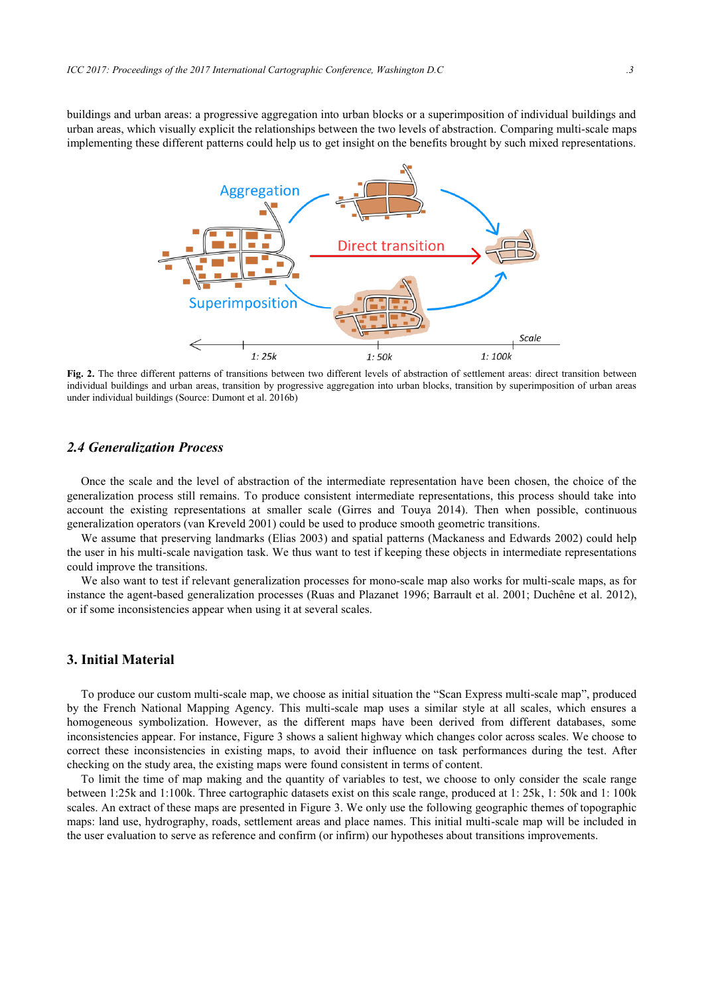buildings and urban areas: a progressive aggregation into urban blocks or a superimposition of individual buildings and urban areas, which visually explicit the relationships between the two levels of abstraction. Comparing multi-scale maps implementing these different patterns could help us to get insight on the benefits brought by such mixed representations.



**Fig. 2.** The three different patterns of transitions between two different levels of abstraction of settlement areas: direct transition between individual buildings and urban areas, transition by progressive aggregation into urban blocks, transition by superimposition of urban areas under individual buildings (Source: Dumont et al. 2016b)

# *2.4 Generalization Process*

Once the scale and the level of abstraction of the intermediate representation have been chosen, the choice of the generalization process still remains. To produce consistent intermediate representations, this process should take into account the existing representations at smaller scale (Girres and Touya 2014). Then when possible, continuous generalization operators (van Kreveld 2001) could be used to produce smooth geometric transitions.

We assume that preserving landmarks (Elias 2003) and spatial patterns (Mackaness and Edwards 2002) could help the user in his multi-scale navigation task. We thus want to test if keeping these objects in intermediate representations could improve the transitions.

We also want to test if relevant generalization processes for mono-scale map also works for multi-scale maps, as for instance the agent-based generalization processes (Ruas and Plazanet 1996; Barrault et al. 2001; Duchêne et al. 2012), or if some inconsistencies appear when using it at several scales.

## **3. Initial Material**

To produce our custom multi-scale map, we choose as initial situation the "Scan Express multi-scale map", produced by the French National Mapping Agency. This multi-scale map uses a similar style at all scales, which ensures a homogeneous symbolization. However, as the different maps have been derived from different databases, some inconsistencies appear. For instance, Figure 3 shows a salient highway which changes color across scales. We choose to correct these inconsistencies in existing maps, to avoid their influence on task performances during the test. After checking on the study area, the existing maps were found consistent in terms of content.

To limit the time of map making and the quantity of variables to test, we choose to only consider the scale range between 1:25k and 1:100k. Three cartographic datasets exist on this scale range, produced at 1: 25k, 1: 50k and 1: 100k scales. An extract of these maps are presented in Figure 3. We only use the following geographic themes of topographic maps: land use, hydrography, roads, settlement areas and place names. This initial multi-scale map will be included in the user evaluation to serve as reference and confirm (or infirm) our hypotheses about transitions improvements.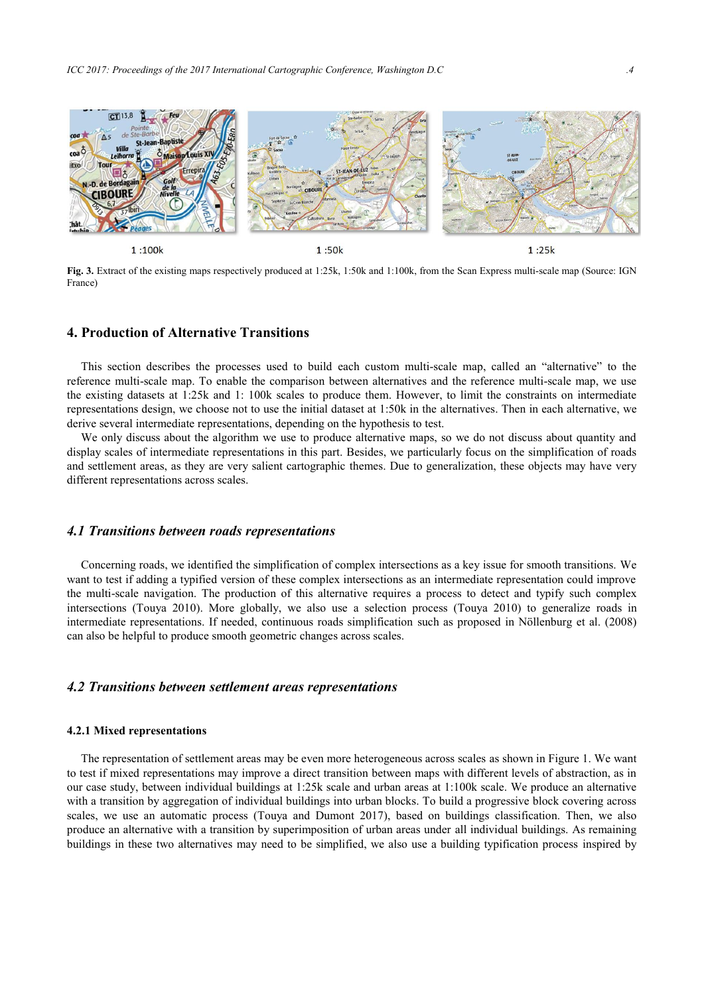

**Fig. 3.** Extract of the existing maps respectively produced at 1:25k, 1:50k and 1:100k, from the Scan Express multi-scale map (Source: IGN France)

# **4. Production of Alternative Transitions**

This section describes the processes used to build each custom multi-scale map, called an "alternative" to the reference multi-scale map. To enable the comparison between alternatives and the reference multi-scale map, we use the existing datasets at 1:25k and 1: 100k scales to produce them. However, to limit the constraints on intermediate representations design, we choose not to use the initial dataset at 1:50k in the alternatives. Then in each alternative, we derive several intermediate representations, depending on the hypothesis to test.

We only discuss about the algorithm we use to produce alternative maps, so we do not discuss about quantity and display scales of intermediate representations in this part. Besides, we particularly focus on the simplification of roads and settlement areas, as they are very salient cartographic themes. Due to generalization, these objects may have very different representations across scales.

### *4.1 Transitions between roads representations*

Concerning roads, we identified the simplification of complex intersections as a key issue for smooth transitions. We want to test if adding a typified version of these complex intersections as an intermediate representation could improve the multi-scale navigation. The production of this alternative requires a process to detect and typify such complex intersections (Touya 2010). More globally, we also use a selection process (Touya 2010) to generalize roads in intermediate representations. If needed, continuous roads simplification such as proposed in Nöllenburg et al. (2008) can also be helpful to produce smooth geometric changes across scales.

# *4.2 Transitions between settlement areas representations*

#### **4.2.1 Mixed representations**

The representation of settlement areas may be even more heterogeneous across scales as shown in Figure 1. We want to test if mixed representations may improve a direct transition between maps with different levels of abstraction, as in our case study, between individual buildings at 1:25k scale and urban areas at 1:100k scale. We produce an alternative with a transition by aggregation of individual buildings into urban blocks. To build a progressive block covering across scales, we use an automatic process (Touya and Dumont 2017), based on buildings classification. Then, we also produce an alternative with a transition by superimposition of urban areas under all individual buildings. As remaining buildings in these two alternatives may need to be simplified, we also use a building typification process inspired by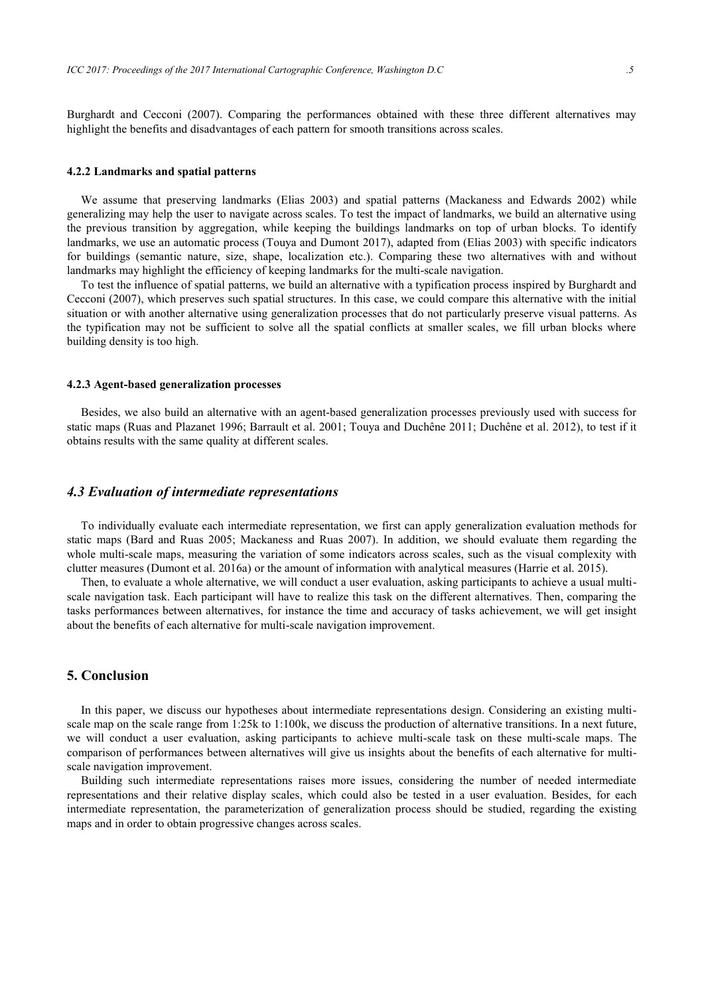Burghardt and Cecconi (2007). Comparing the performances obtained with these three different alternatives may highlight the benefits and disadvantages of each pattern for smooth transitions across scales.

#### **4.2.2 Landmarks and spatial patterns**

We assume that preserving landmarks (Elias 2003) and spatial patterns (Mackaness and Edwards 2002) while generalizing may help the user to navigate across scales. To test the impact of landmarks, we build an alternative using the previous transition by aggregation, while keeping the buildings landmarks on top of urban blocks. To identify landmarks, we use an automatic process (Touya and Dumont 2017), adapted from (Elias 2003) with specific indicators for buildings (semantic nature, size, shape, localization etc.). Comparing these two alternatives with and without landmarks may highlight the efficiency of keeping landmarks for the multi-scale navigation.

To test the influence of spatial patterns, we build an alternative with a typification process inspired by Burghardt and Cecconi (2007), which preserves such spatial structures. In this case, we could compare this alternative with the initial situation or with another alternative using generalization processes that do not particularly preserve visual patterns. As the typification may not be sufficient to solve all the spatial conflicts at smaller scales, we fill urban blocks where building density is too high.

#### **4.2.3 Agent-based generalization processes**

Besides, we also build an alternative with an agent-based generalization processes previously used with success for static maps (Ruas and Plazanet 1996; Barrault et al. 2001; Touya and Duchêne 2011; Duchêne et al. 2012), to test if it obtains results with the same quality at different scales.

#### *4.3 Evaluation of intermediate representations*

To individually evaluate each intermediate representation, we first can apply generalization evaluation methods for static maps (Bard and Ruas 2005; Mackaness and Ruas 2007). In addition, we should evaluate them regarding the whole multi-scale maps, measuring the variation of some indicators across scales, such as the visual complexity with clutter measures (Dumont et al. 2016a) or the amount of information with analytical measures (Harrie et al. 2015).

Then, to evaluate a whole alternative, we will conduct a user evaluation, asking participants to achieve a usual multiscale navigation task. Each participant will have to realize this task on the different alternatives. Then, comparing the tasks performances between alternatives, for instance the time and accuracy of tasks achievement, we will get insight about the benefits of each alternative for multi-scale navigation improvement.

### **5. Conclusion**

In this paper, we discuss our hypotheses about intermediate representations design. Considering an existing multiscale map on the scale range from 1:25k to 1:100k, we discuss the production of alternative transitions. In a next future, we will conduct a user evaluation, asking participants to achieve multi-scale task on these multi-scale maps. The comparison of performances between alternatives will give us insights about the benefits of each alternative for multiscale navigation improvement.

Building such intermediate representations raises more issues, considering the number of needed intermediate representations and their relative display scales, which could also be tested in a user evaluation. Besides, for each intermediate representation, the parameterization of generalization process should be studied, regarding the existing maps and in order to obtain progressive changes across scales.